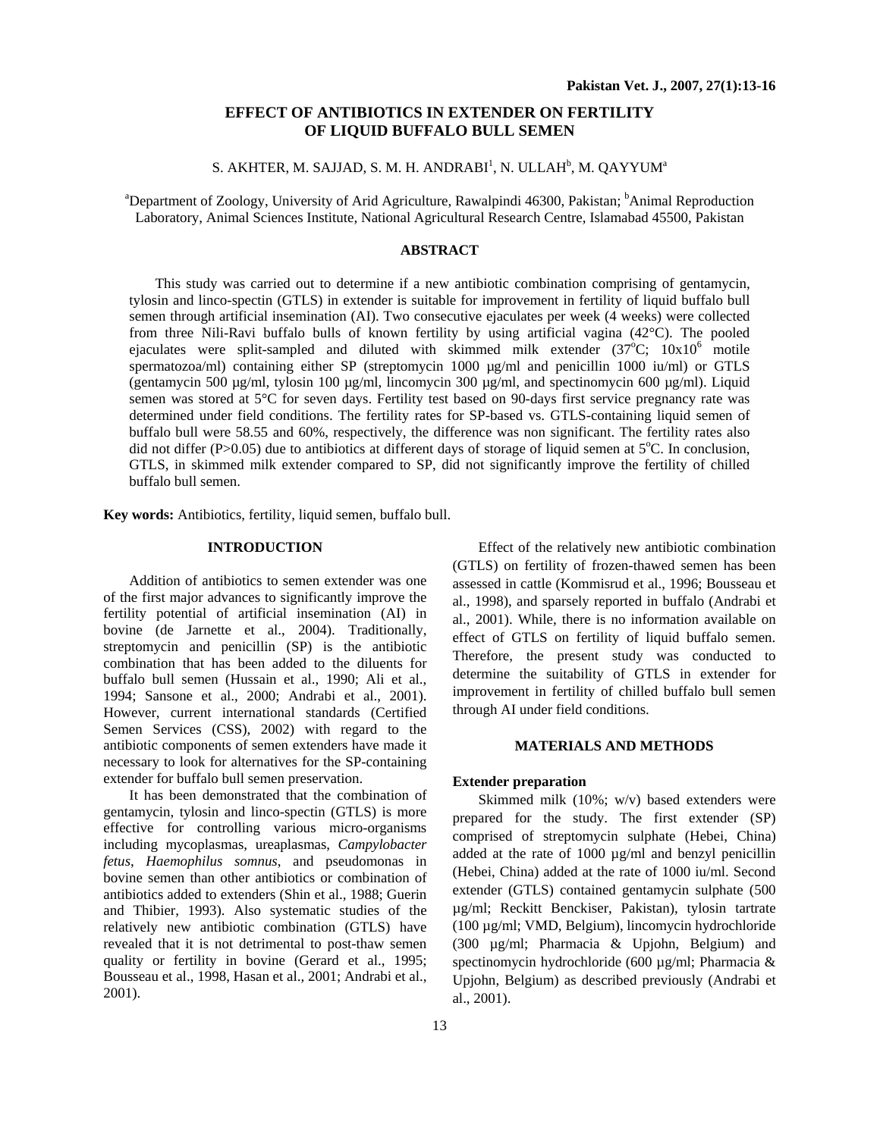# **EFFECT OF ANTIBIOTICS IN EXTENDER ON FERTILITY OF LIQUID BUFFALO BULL SEMEN**

S. AKHTER, M. SAJJAD, S. M. H. ANDRABI $^{\rm l}$ , N. ULLAH $^{\rm b}$ , M. QAYYUM $^{\rm a}$ 

<sup>a</sup>Department of Zoology, University of Arid Agriculture, Rawalpindi 46300, Pakistan; <sup>b</sup>Animal Reproduction Laboratory, Animal Sciences Institute, National Agricultural Research Centre, Islamabad 45500, Pakistan

## **ABSTRACT**

This study was carried out to determine if a new antibiotic combination comprising of gentamycin, tylosin and linco-spectin (GTLS) in extender is suitable for improvement in fertility of liquid buffalo bull semen through artificial insemination (AI). Two consecutive ejaculates per week (4 weeks) were collected from three Nili-Ravi buffalo bulls of known fertility by using artificial vagina (42°C). The pooled ejaculates were split-sampled and diluted with skimmed milk extender  $(37^{\circ}C; 10x10^6)$  motile spermatozoa/ml) containing either SP (streptomycin  $1000 \text{ µg/ml}}$  and penicillin  $1000 \text{ µm/l}$ ) or GTLS (gentamycin 500  $\mu$ g/ml, tylosin 100  $\mu$ g/ml, lincomycin 300  $\mu$ g/ml, and spectinomycin 600  $\mu$ g/ml). Liquid semen was stored at 5°C for seven days. Fertility test based on 90-days first service pregnancy rate was determined under field conditions. The fertility rates for SP-based vs. GTLS-containing liquid semen of buffalo bull were 58.55 and 60%, respectively, the difference was non significant. The fertility rates also did not differ (P>0.05) due to antibiotics at different days of storage of liquid semen at  $5^{\circ}$ C. In conclusion, GTLS, in skimmed milk extender compared to SP, did not significantly improve the fertility of chilled buffalo bull semen.

**Key words:** Antibiotics, fertility, liquid semen, buffalo bull.

## **INTRODUCTION**

Addition of antibiotics to semen extender was one of the first major advances to significantly improve the fertility potential of artificial insemination (AI) in bovine (de Jarnette et al., 2004). Traditionally, streptomycin and penicillin (SP) is the antibiotic combination that has been added to the diluents for buffalo bull semen (Hussain et al., 1990; Ali et al., 1994; Sansone et al., 2000; Andrabi et al., 2001). However, current international standards (Certified Semen Services (CSS), 2002) with regard to the antibiotic components of semen extenders have made it necessary to look for alternatives for the SP-containing extender for buffalo bull semen preservation.

 It has been demonstrated that the combination of gentamycin, tylosin and linco-spectin (GTLS) is more effective for controlling various micro-organisms including mycoplasmas, ureaplasmas, *Campylobacter fetus*, *Haemophilus somnus*, and pseudomonas in bovine semen than other antibiotics or combination of antibiotics added to extenders (Shin et al., 1988; Guerin and Thibier, 1993). Also systematic studies of the relatively new antibiotic combination (GTLS) have revealed that it is not detrimental to post-thaw semen quality or fertility in bovine (Gerard et al., 1995; Bousseau et al., 1998, Hasan et al., 2001; Andrabi et al., 2001).

 Effect of the relatively new antibiotic combination (GTLS) on fertility of frozen-thawed semen has been assessed in cattle (Kommisrud et al., 1996; Bousseau et al., 1998), and sparsely reported in buffalo (Andrabi et al., 2001). While, there is no information available on effect of GTLS on fertility of liquid buffalo semen. Therefore, the present study was conducted to determine the suitability of GTLS in extender for improvement in fertility of chilled buffalo bull semen through AI under field conditions.

## **MATERIALS AND METHODS**

## **Extender preparation**

 Skimmed milk (10%; w/v) based extenders were prepared for the study. The first extender (SP) comprised of streptomycin sulphate (Hebei, China) added at the rate of 1000 µg/ml and benzyl penicillin (Hebei, China) added at the rate of 1000 iu/ml. Second extender (GTLS) contained gentamycin sulphate (500 µg/ml; Reckitt Benckiser, Pakistan), tylosin tartrate (100 µg/ml; VMD, Belgium), lincomycin hydrochloride (300 µg/ml; Pharmacia & Upjohn, Belgium) and spectinomycin hydrochloride (600 µg/ml; Pharmacia & Upjohn, Belgium) as described previously (Andrabi et al., 2001).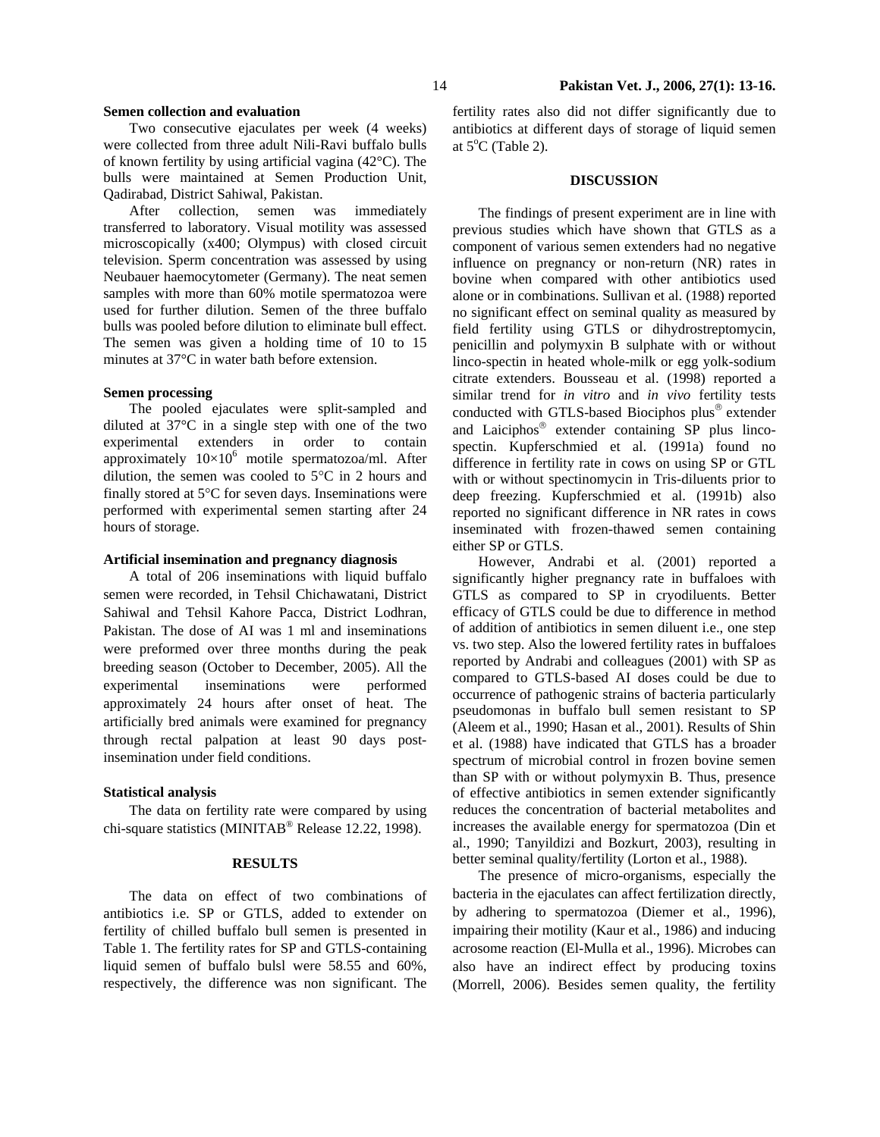## **Semen collection and evaluation**

 Two consecutive ejaculates per week (4 weeks) were collected from three adult Nili-Ravi buffalo bulls of known fertility by using artificial vagina (42°C). The bulls were maintained at Semen Production Unit, Qadirabad, District Sahiwal, Pakistan.

 After collection, semen was immediately transferred to laboratory. Visual motility was assessed microscopically (x400; Olympus) with closed circuit television. Sperm concentration was assessed by using Neubauer haemocytometer (Germany). The neat semen samples with more than 60% motile spermatozoa were used for further dilution. Semen of the three buffalo bulls was pooled before dilution to eliminate bull effect. The semen was given a holding time of 10 to 15 minutes at 37°C in water bath before extension.

## **Semen processing**

 The pooled ejaculates were split-sampled and diluted at 37°C in a single step with one of the two experimental extenders in order to contain approximately  $10 \times 10^6$  motile spermatozoa/ml. After dilution, the semen was cooled to 5°C in 2 hours and finally stored at 5°C for seven days. Inseminations were performed with experimental semen starting after 24 hours of storage.

#### **Artificial insemination and pregnancy diagnosis**

 A total of 206 inseminations with liquid buffalo semen were recorded, in Tehsil Chichawatani, District Sahiwal and Tehsil Kahore Pacca, District Lodhran, Pakistan. The dose of AI was 1 ml and inseminations were preformed over three months during the peak breeding season (October to December, 2005). All the experimental inseminations were performed approximately 24 hours after onset of heat. The artificially bred animals were examined for pregnancy through rectal palpation at least 90 days postinsemination under field conditions.

#### **Statistical analysis**

 The data on fertility rate were compared by using chi-square statistics (MINITAB® Release 12.22, 1998).

## **RESULTS**

 The data on effect of two combinations of antibiotics i.e. SP or GTLS, added to extender on fertility of chilled buffalo bull semen is presented in Table 1. The fertility rates for SP and GTLS-containing liquid semen of buffalo bulsl were 58.55 and 60%, respectively, the difference was non significant. The

fertility rates also did not differ significantly due to antibiotics at different days of storage of liquid semen at  $5^{\circ}$ C (Table 2).

## **DISCUSSION**

The findings of present experiment are in line with previous studies which have shown that GTLS as a component of various semen extenders had no negative influence on pregnancy or non-return (NR) rates in bovine when compared with other antibiotics used alone or in combinations. Sullivan et al. (1988) reported no significant effect on seminal quality as measured by field fertility using GTLS or dihydrostreptomycin, penicillin and polymyxin B sulphate with or without linco-spectin in heated whole-milk or egg yolk-sodium citrate extenders. Bousseau et al. (1998) reported a similar trend for *in vitro* and *in vivo* fertility tests conducted with GTLS-based Biociphos plus® extender and Laiciphos® extender containing SP plus lincospectin. Kupferschmied et al. (1991a) found no difference in fertility rate in cows on using SP or GTL with or without spectinomycin in Tris-diluents prior to deep freezing. Kupferschmied et al. (1991b) also reported no significant difference in NR rates in cows inseminated with frozen-thawed semen containing either SP or GTLS.

 However, Andrabi et al. (2001) reported a significantly higher pregnancy rate in buffaloes with GTLS as compared to SP in cryodiluents. Better efficacy of GTLS could be due to difference in method of addition of antibiotics in semen diluent i.e., one step vs. two step. Also the lowered fertility rates in buffaloes reported by Andrabi and colleagues (2001) with SP as compared to GTLS-based AI doses could be due to occurrence of pathogenic strains of bacteria particularly pseudomonas in buffalo bull semen resistant to SP (Aleem et al., 1990; Hasan et al., 2001). Results of Shin et al. (1988) have indicated that GTLS has a broader spectrum of microbial control in frozen bovine semen than SP with or without polymyxin B. Thus, presence of effective antibiotics in semen extender significantly reduces the concentration of bacterial metabolites and increases the available energy for spermatozoa (Din et al., 1990; Tanyildizi and Bozkurt, 2003), resulting in better seminal quality/fertility (Lorton et al., 1988).

 The presence of micro-organisms, especially the bacteria in the ejaculates can affect fertilization directly, by adhering to spermatozoa (Diemer et al., 1996), impairing their motility (Kaur et al., 1986) and inducing acrosome reaction (El-Mulla et al., 1996). Microbes can also have an indirect effect by producing toxins (Morrell, 2006). Besides semen quality, the fertility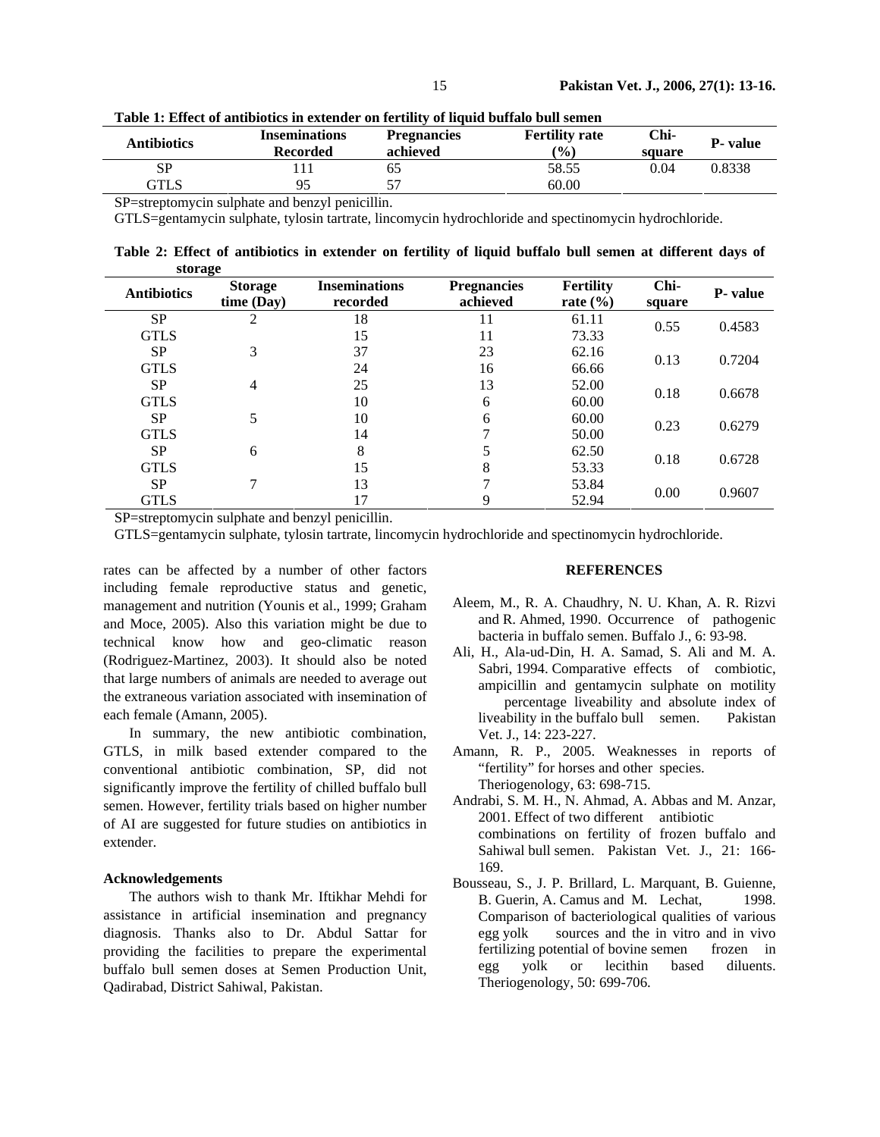| Antibiotics | <b>Inseminations</b><br><b>Recorded</b> | <b>Pregnancies</b><br>achieved | <b>Fertility rate</b><br>$\frac{1}{2}$ | Chi-<br>square | <b>P</b> - value |
|-------------|-----------------------------------------|--------------------------------|----------------------------------------|----------------|------------------|
| <b>SP</b>   |                                         | ნა                             | 58.55                                  | 0.04           | 0.8338           |
| GTLS        | 95                                      | 57                             | 60.00                                  |                |                  |

**Table 1: Effect of antibiotics in extender on fertility of liquid buffalo bull semen** 

SP=streptomycin sulphate and benzyl penicillin.

GTLS=gentamycin sulphate, tylosin tartrate, lincomycin hydrochloride and spectinomycin hydrochloride.

**Table 2: Effect of antibiotics in extender on fertility of liquid buffalo bull semen at different days of storage** 

| <b>Antibiotics</b> | <b>Storage</b><br>time (Day) | <b>Inseminations</b><br>recorded | <b>Pregnancies</b><br>achieved | <b>Fertility</b><br>rate $(\% )$ | Chi-<br>square | P- value |
|--------------------|------------------------------|----------------------------------|--------------------------------|----------------------------------|----------------|----------|
| <b>SP</b>          | 2                            | 18                               |                                | 61.11                            | 0.55           | 0.4583   |
| <b>GTLS</b>        |                              | 15                               | 11                             | 73.33                            |                |          |
| SP                 | 3                            | 37                               | 23                             | 62.16                            | 0.13           | 0.7204   |
| <b>GTLS</b>        |                              | 24                               | 16                             | 66.66                            |                |          |
| SP                 | $\overline{4}$               | 25                               | 13                             | 52.00                            |                |          |
| <b>GTLS</b>        |                              | 10                               | 6                              | 60.00                            | 0.18           | 0.6678   |
| SP                 | 5                            | 10                               | 6                              | 60.00                            |                |          |
| <b>GTLS</b>        |                              | 14                               |                                | 50.00                            | 0.23           | 0.6279   |
| SP                 | 6                            | 8                                |                                | 62.50                            |                | 0.6728   |
| <b>GTLS</b>        |                              | 15                               | 8                              | 53.33                            | 0.18           |          |
| SP                 | $\tau$                       | 13                               |                                | 53.84                            | 0.00           | 0.9607   |
| <b>GTLS</b>        |                              | 17                               | 9                              | 52.94                            |                |          |

SP=streptomycin sulphate and benzyl penicillin.

GTLS=gentamycin sulphate, tylosin tartrate, lincomycin hydrochloride and spectinomycin hydrochloride.

rates can be affected by a number of other factors including female reproductive status and genetic, management and nutrition (Younis et al., 1999; Graham and Moce, 2005). Also this variation might be due to technical know how and geo-climatic reason (Rodriguez-Martinez, 2003). It should also be noted that large numbers of animals are needed to average out the extraneous variation associated with insemination of each female (Amann, 2005).

 In summary, the new antibiotic combination, GTLS, in milk based extender compared to the conventional antibiotic combination, SP, did not significantly improve the fertility of chilled buffalo bull semen. However, fertility trials based on higher number of AI are suggested for future studies on antibiotics in extender.

### **Acknowledgements**

The authors wish to thank Mr. Iftikhar Mehdi for assistance in artificial insemination and pregnancy diagnosis. Thanks also to Dr. Abdul Sattar for providing the facilities to prepare the experimental buffalo bull semen doses at Semen Production Unit, Qadirabad, District Sahiwal, Pakistan.

## **REFERENCES**

- Aleem, M., R. A. Chaudhry, N. U. Khan, A. R. Rizvi and R. Ahmed, 1990. Occurrence of pathogenic bacteria in buffalo semen. Buffalo J., 6: 93-98.
- Ali, H., Ala-ud-Din, H. A. Samad, S. Ali and M. A. Sabri, 1994. Comparative effects of combiotic, ampicillin and gentamycin sulphate on motility percentage liveability and absolute index of liveability in the buffalo bull semen. Pakistan Vet. J., 14: 223-227.
- Amann, R. P., 2005. Weaknesses in reports of "fertility" for horses and other species. Theriogenology, 63: 698-715.
- Andrabi, S. M. H., N. Ahmad, A. Abbas and M. Anzar, 2001. Effect of two different antibiotic combinations on fertility of frozen buffalo and Sahiwal bull semen. Pakistan Vet. J., 21: 166- 169.
- Bousseau, S., J. P. Brillard, L. Marquant, B. Guienne, B. Guerin, A. Camus and M. Lechat, 1998. Comparison of bacteriological qualities of various egg yolk sources and the in vitro and in vivo fertilizing potential of bovine semen frozen in egg yolk or lecithin based diluents. Theriogenology, 50: 699-706.